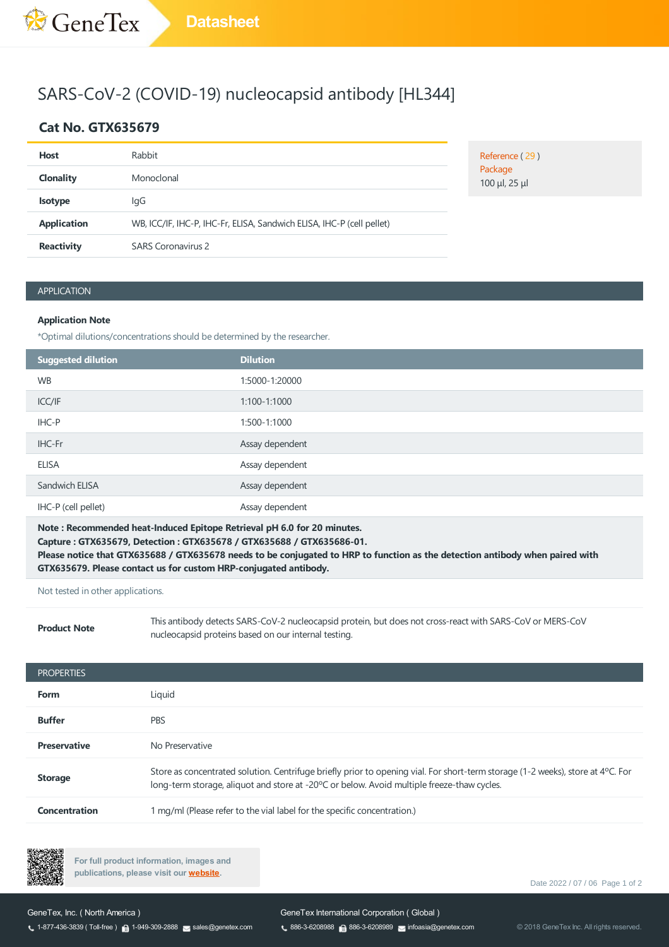## SARS-CoV-2 (COVID-19) nucleocapsid antibody [HL344]

### **Cat No. GTX635679**

| <b>Host</b>        | Rabbit                                                                |
|--------------------|-----------------------------------------------------------------------|
| <b>Clonality</b>   | Monoclonal                                                            |
| <b>Isotype</b>     | lgG                                                                   |
| <b>Application</b> | WB, ICC/IF, IHC-P, IHC-Fr, ELISA, Sandwich ELISA, IHC-P (cell pellet) |
| <b>Reactivity</b>  | <b>SARS Coronavirus 2</b>                                             |

Reference (29) Package 100 μl, 25 μl

### APPLICATION

### **Application Note**

\*Optimal dilutions/concentrations should be determined by the researcher.

| Suggested dilution  | <b>Dilution</b> |
|---------------------|-----------------|
| <b>WB</b>           | 1:5000-1:20000  |
| ICC/IF              | 1:100-1:1000    |
| IHC-P               | 1:500-1:1000    |
| IHC-Fr              | Assay dependent |
| <b>ELISA</b>        | Assay dependent |
| Sandwich ELISA      | Assay dependent |
| IHC-P (cell pellet) | Assay dependent |

**Note : Recommended heat-Induced Epitope Retrieval pH 6.0 for 20 minutes. Capture : GTX635679, Detection :GTX635678 / GTX635688 / GTX635686-01.** Please notice that GTX635688 / GTX635678 needs to be conjugated to HRP to function as the detection antibody when paired with **GTX635679. Please contact us for custom HRP-conjugated antibody.**

### Not tested in other applications.

**Product Note**

Thisantibody detectsSARS-CoV-2 nucleocapsid protein, but does not cross-react with SARS-CoV or MERS-CoV nucleocapsid proteins based on our internal testing.

| <b>PROPERTIES</b>    |                                                                                                                                                                                                                                         |
|----------------------|-----------------------------------------------------------------------------------------------------------------------------------------------------------------------------------------------------------------------------------------|
| <b>Form</b>          | Liquid                                                                                                                                                                                                                                  |
| <b>Buffer</b>        | <b>PBS</b>                                                                                                                                                                                                                              |
| <b>Preservative</b>  | No Preservative                                                                                                                                                                                                                         |
| <b>Storage</b>       | Store as concentrated solution. Centrifuge briefly prior to opening vial. For short-term storage (1-2 weeks), store at $4^{\circ}$ C. For<br>long-term storage, aliguot and store at -20°C or below. Avoid multiple freeze-thaw cycles. |
| <b>Concentration</b> | 1 mg/ml (Please refer to the vial label for the specific concentration.)                                                                                                                                                                |



**For full product information, images and publications, please visit our [website.](https://www.genetex.com/Product/Detail/SARS-CoV-2-COVID-19-nucleocapsid-antibody-HL344/GTX635679)**

Date 2022 / 07 / 06 Page 1 of 2